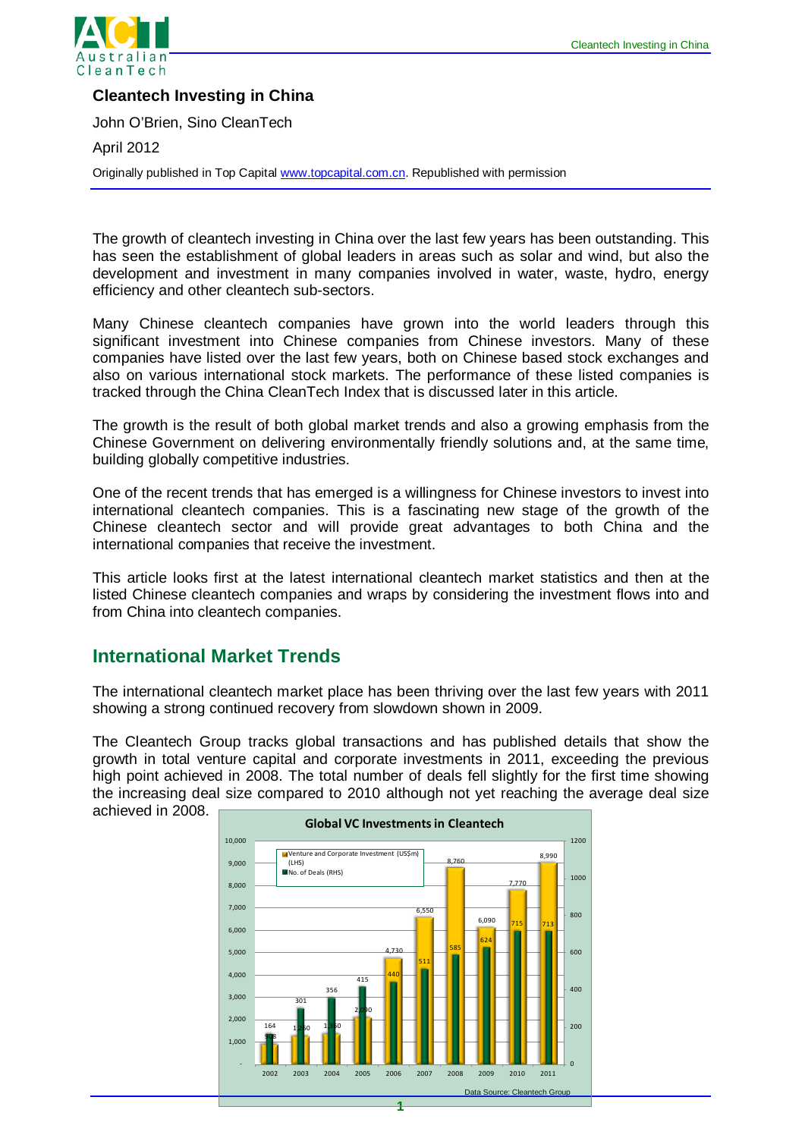

### **Cleantech Investing in China**

John O'Brien, Sino CleanTech

April 2012

Originally published in Top Capital [www.topcapital.com.cn.](http://www.topcapital.com.cn/) Republished with permission

The growth of cleantech investing in China over the last few years has been outstanding. This has seen the establishment of global leaders in areas such as solar and wind, but also the development and investment in many companies involved in water, waste, hydro, energy efficiency and other cleantech sub-sectors.

Many Chinese cleantech companies have grown into the world leaders through this significant investment into Chinese companies from Chinese investors. Many of these companies have listed over the last few years, both on Chinese based stock exchanges and also on various international stock markets. The performance of these listed companies is tracked through the China CleanTech Index that is discussed later in this article.

The growth is the result of both global market trends and also a growing emphasis from the Chinese Government on delivering environmentally friendly solutions and, at the same time, building globally competitive industries.

One of the recent trends that has emerged is a willingness for Chinese investors to invest into international cleantech companies. This is a fascinating new stage of the growth of the Chinese cleantech sector and will provide great advantages to both China and the international companies that receive the investment.

This article looks first at the latest international cleantech market statistics and then at the listed Chinese cleantech companies and wraps by considering the investment flows into and from China into cleantech companies.

## **International Market Trends**

The international cleantech market place has been thriving over the last few years with 2011 showing a strong continued recovery from slowdown shown in 2009.

The Cleantech Group tracks global transactions and has published details that show the growth in total venture capital and corporate investments in 2011, exceeding the previous high point achieved in 2008. The total number of deals fell slightly for the first time showing the increasing deal size compared to 2010 although not yet reaching the average deal size achieved in 2008.

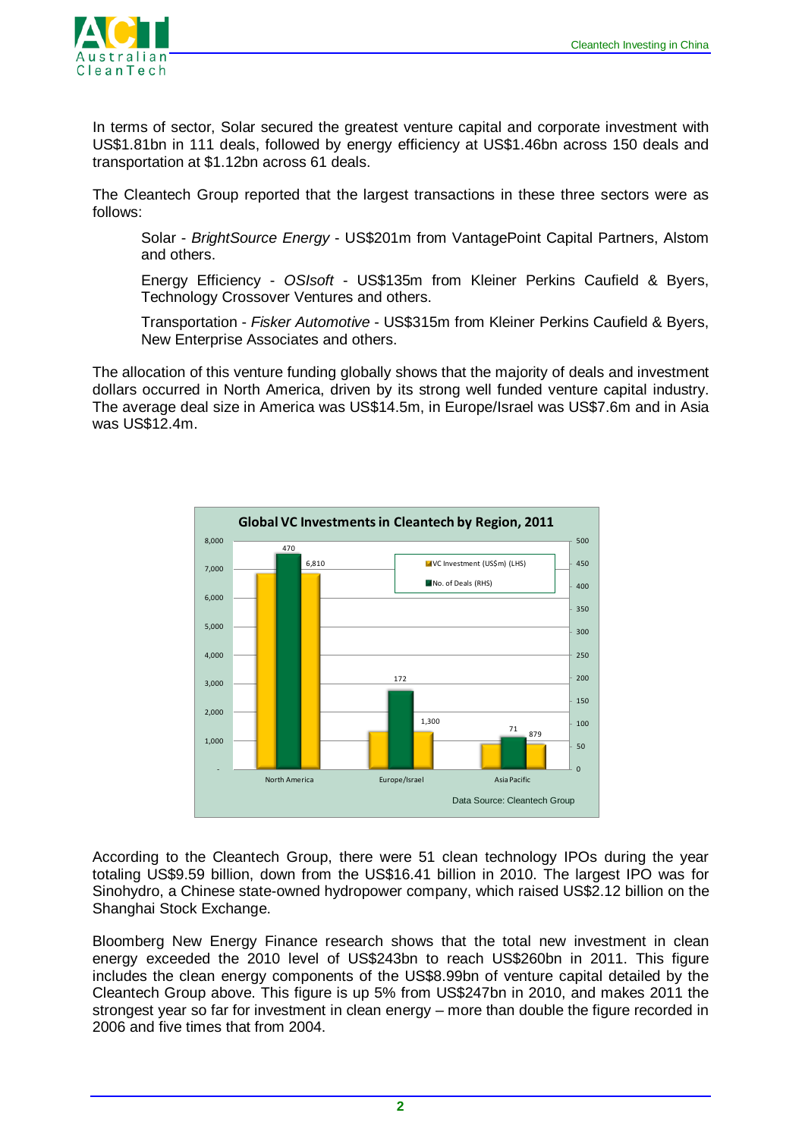

In terms of sector, Solar secured the greatest venture capital and corporate investment with US\$1.81bn in 111 deals, followed by energy efficiency at US\$1.46bn across 150 deals and transportation at \$1.12bn across 61 deals.

The Cleantech Group reported that the largest transactions in these three sectors were as follows:

Solar - *BrightSource Energy* - US\$201m from VantagePoint Capital Partners, Alstom and others.

Energy Efficiency - *OSIsoft* - US\$135m from Kleiner Perkins Caufield & Byers, Technology Crossover Ventures and others.

Transportation - *Fisker Automotive* - US\$315m from Kleiner Perkins Caufield & Byers, New Enterprise Associates and others.

The allocation of this venture funding globally shows that the majority of deals and investment dollars occurred in North America, driven by its strong well funded venture capital industry. The average deal size in America was US\$14.5m, in Europe/Israel was US\$7.6m and in Asia was US\$12.4m.



According to the Cleantech Group, there were 51 clean technology IPOs during the year totaling US\$9.59 billion, down from the US\$16.41 billion in 2010. The largest IPO was for Sinohydro, a Chinese state-owned hydropower company, which raised US\$2.12 billion on the Shanghai Stock Exchange.

Bloomberg New Energy Finance research shows that the total new investment in clean energy exceeded the 2010 level of US\$243bn to reach US\$260bn in 2011. This figure includes the clean energy components of the US\$8.99bn of venture capital detailed by the Cleantech Group above. This figure is up 5% from US\$247bn in 2010, and makes 2011 the strongest year so far for investment in clean energy – more than double the figure recorded in 2006 and five times that from 2004.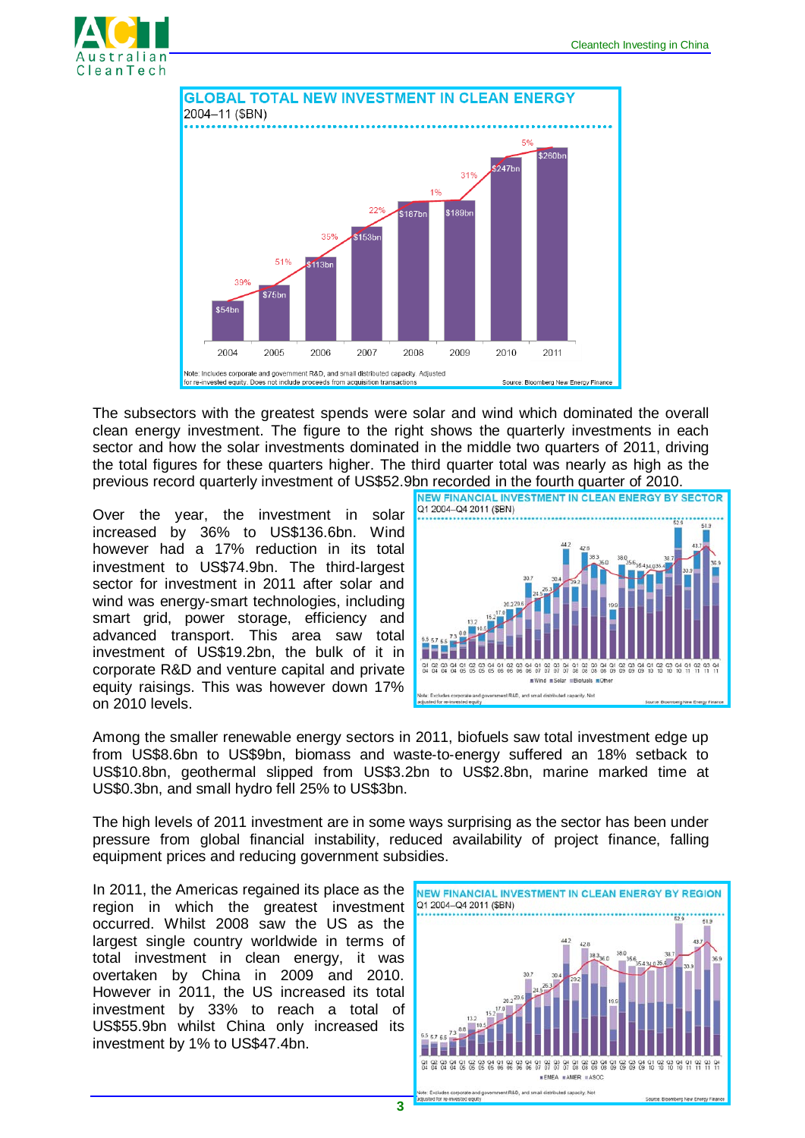



The subsectors with the greatest spends were solar and wind which dominated the overall clean energy investment. The figure to the right shows the quarterly investments in each sector and how the solar investments dominated in the middle two quarters of 2011, driving the total figures for these quarters higher. The third quarter total was nearly as high as the previous record quarterly investment of US\$52.9bn recorded in the fourth quarter of 2010.<br>INEW FINANCIAL INVESTMENT IN CLEAN ENERGY BY SECTOR

Over the year, the investment in solar increased by 36% to US\$136.6bn. Wind however had a 17% reduction in its total investment to US\$74.9bn. The third‐largest sector for investment in 2011 after solar and wind was energy-smart technologies, including smart grid, power storage, efficiency and advanced transport. This area saw total investment of US\$19.2bn, the bulk of it in corporate R&D and venture capital and private equity raisings. This was however down 17% on 2010 levels.



Among the smaller renewable energy sectors in 2011, biofuels saw total investment edge up from US\$8.6bn to US\$9bn, biomass and waste‐to‐energy suffered an 18% setback to US\$10.8bn, geothermal slipped from US\$3.2bn to US\$2.8bn, marine marked time at US\$0.3bn, and small hydro fell 25% to US\$3bn.

The high levels of 2011 investment are in some ways surprising as the sector has been under pressure from global financial instability, reduced availability of project finance, falling equipment prices and reducing government subsidies.

In 2011, the Americas regained its place as the region in which the greatest investment occurred. Whilst 2008 saw the US as the largest single country worldwide in terms of total investment in clean energy, it was overtaken by China in 2009 and 2010. However in 2011, the US increased its total investment by 33% to reach a total of US\$55.9bn whilst China only increased its investment by 1% to US\$47.4bn.

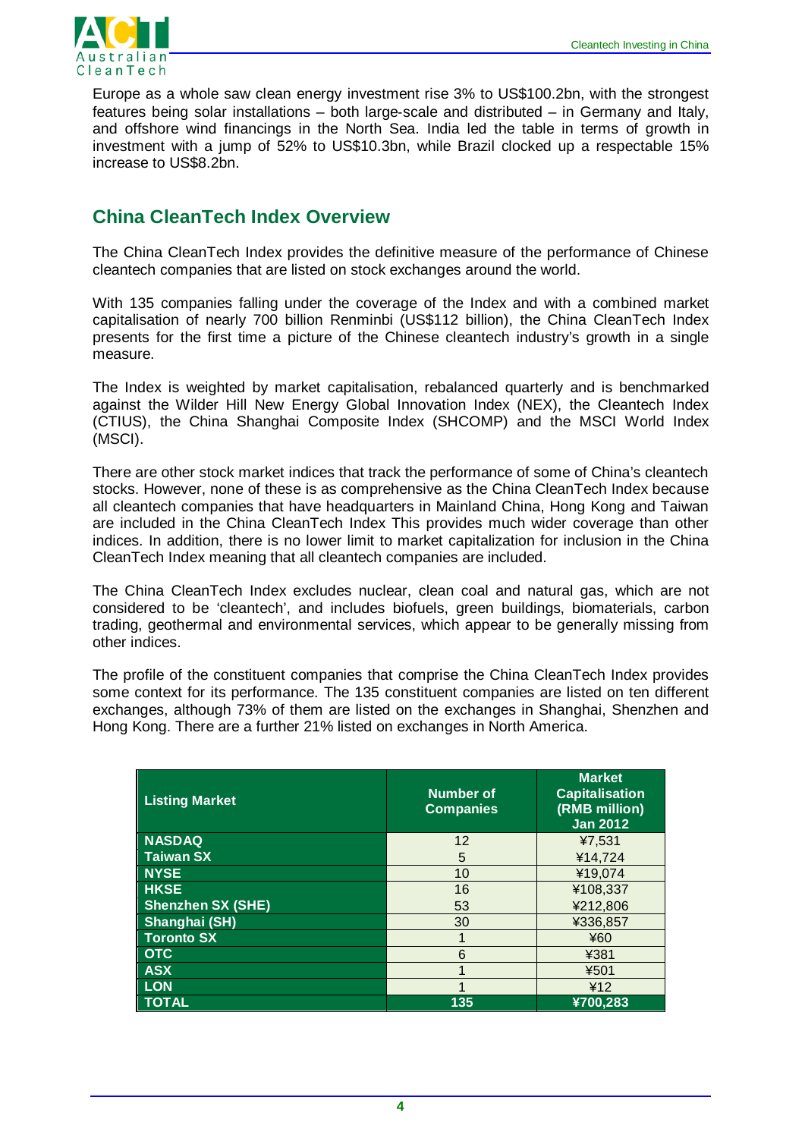

Europe as a whole saw clean energy investment rise 3% to US\$100.2bn, with the strongest features being solar installations – both large‐scale and distributed – in Germany and Italy, and offshore wind financings in the North Sea. India led the table in terms of growth in investment with a jump of 52% to US\$10.3bn, while Brazil clocked up a respectable 15% increase to US\$8.2bn.

## **China CleanTech Index Overview**

The China CleanTech Index provides the definitive measure of the performance of Chinese cleantech companies that are listed on stock exchanges around the world.

With 135 companies falling under the coverage of the Index and with a combined market capitalisation of nearly 700 billion Renminbi (US\$112 billion), the China CleanTech Index presents for the first time a picture of the Chinese cleantech industry's growth in a single measure.

The Index is weighted by market capitalisation, rebalanced quarterly and is benchmarked against the Wilder Hill New Energy Global Innovation Index (NEX), the Cleantech Index (CTIUS), the China Shanghai Composite Index (SHCOMP) and the MSCI World Index (MSCI).

There are other stock market indices that track the performance of some of China's cleantech stocks. However, none of these is as comprehensive as the China CleanTech Index because all cleantech companies that have headquarters in Mainland China, Hong Kong and Taiwan are included in the China CleanTech Index This provides much wider coverage than other indices. In addition, there is no lower limit to market capitalization for inclusion in the China CleanTech Index meaning that all cleantech companies are included.

The China CleanTech Index excludes nuclear, clean coal and natural gas, which are not considered to be 'cleantech', and includes biofuels, green buildings, biomaterials, carbon trading, geothermal and environmental services, which appear to be generally missing from other indices.

The profile of the constituent companies that comprise the China CleanTech Index provides some context for its performance. The 135 constituent companies are listed on ten different exchanges, although 73% of them are listed on the exchanges in Shanghai, Shenzhen and Hong Kong. There are a further 21% listed on exchanges in North America.

| <b>Listing Market</b>    | Number of<br><b>Companies</b> | <b>Market</b><br><b>Capitalisation</b><br>(RMB million)<br><b>Jan 2012</b> |
|--------------------------|-------------------------------|----------------------------------------------------------------------------|
| <b>NASDAQ</b>            | 12                            | ¥7,531                                                                     |
| <b>Taiwan SX</b>         | 5                             | ¥14.724                                                                    |
| <b>NYSE</b>              | 10                            | ¥19,074                                                                    |
| <b>HKSE</b>              | 16                            | ¥108,337                                                                   |
| <b>Shenzhen SX (SHE)</b> | 53                            | ¥212,806                                                                   |
| Shanghai (SH)            | 30                            | ¥336,857                                                                   |
| <b>Toronto SX</b>        |                               | ¥60                                                                        |
| <b>OTC</b>               | 6                             | ¥381                                                                       |
| <b>ASX</b>               |                               | ¥501                                                                       |
| <b>LON</b>               |                               | ¥12                                                                        |
| <b>TOTAL</b>             | 135                           | ¥700,283                                                                   |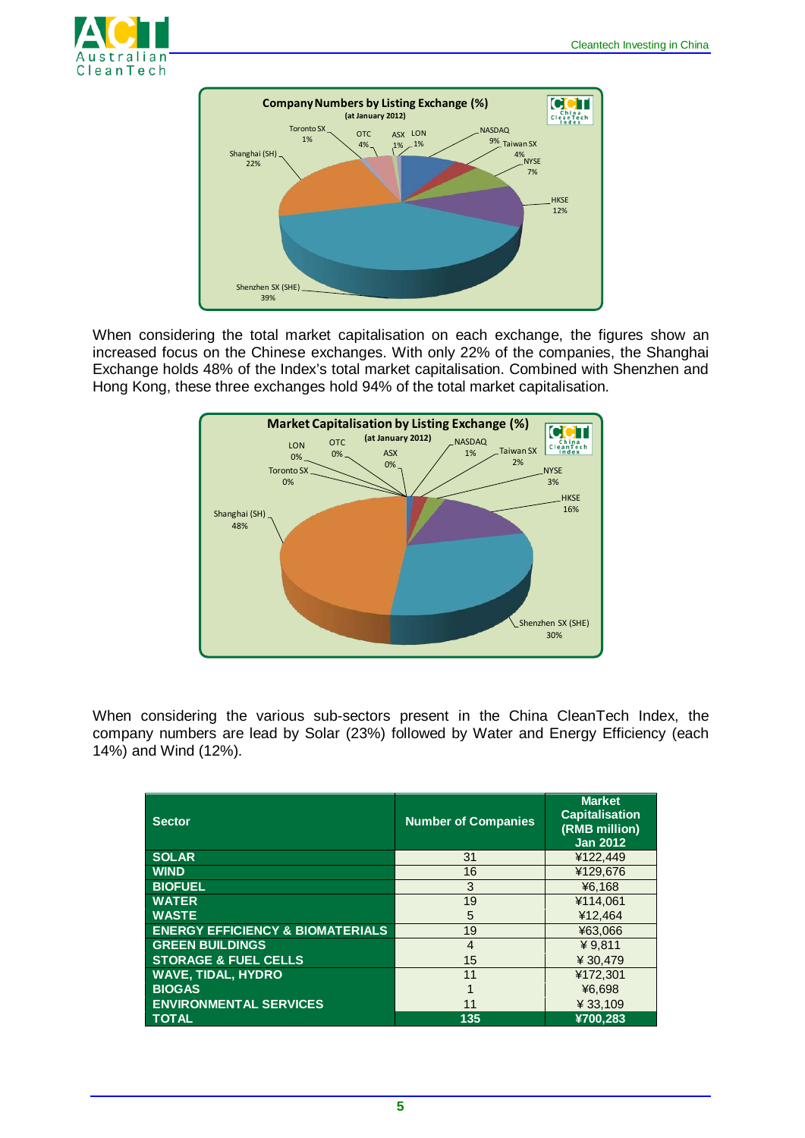



When considering the total market capitalisation on each exchange, the figures show an increased focus on the Chinese exchanges. With only 22% of the companies, the Shanghai Exchange holds 48% of the Index's total market capitalisation. Combined with Shenzhen and Hong Kong, these three exchanges hold 94% of the total market capitalisation.



When considering the various sub-sectors present in the China CleanTech Index, the company numbers are lead by Solar (23%) followed by Water and Energy Efficiency (each 14%) and Wind (12%).

| <b>Sector</b>                               | <b>Number of Companies</b> | <b>Market</b><br><b>Capitalisation</b><br>(RMB million)<br><b>Jan 2012</b> |
|---------------------------------------------|----------------------------|----------------------------------------------------------------------------|
| <b>SOLAR</b>                                | 31                         | ¥122.449                                                                   |
| <b>WIND</b>                                 | 16                         | ¥129.676                                                                   |
| <b>BIOFUEL</b>                              | 3                          | ¥6.168                                                                     |
| <b>WATER</b>                                | 19                         | ¥114.061                                                                   |
| <b>WASTE</b>                                | 5                          | ¥12,464                                                                    |
| <b>ENERGY EFFICIENCY &amp; BIOMATERIALS</b> | 19                         | ¥63.066                                                                    |
| <b>GREEN BUILDINGS</b>                      | 4                          | ¥ $9.811$                                                                  |
| <b>STORAGE &amp; FUEL CELLS</b>             | 15                         | ¥ 30.479                                                                   |
| <b>WAVE, TIDAL, HYDRO</b>                   | 11                         | ¥172.301                                                                   |
| <b>BIOGAS</b>                               |                            | ¥6.698                                                                     |
| <b>ENVIRONMENTAL SERVICES</b>               | 11                         | ¥33,109                                                                    |
| <b>TOTAL</b>                                | 135                        | ¥700.283                                                                   |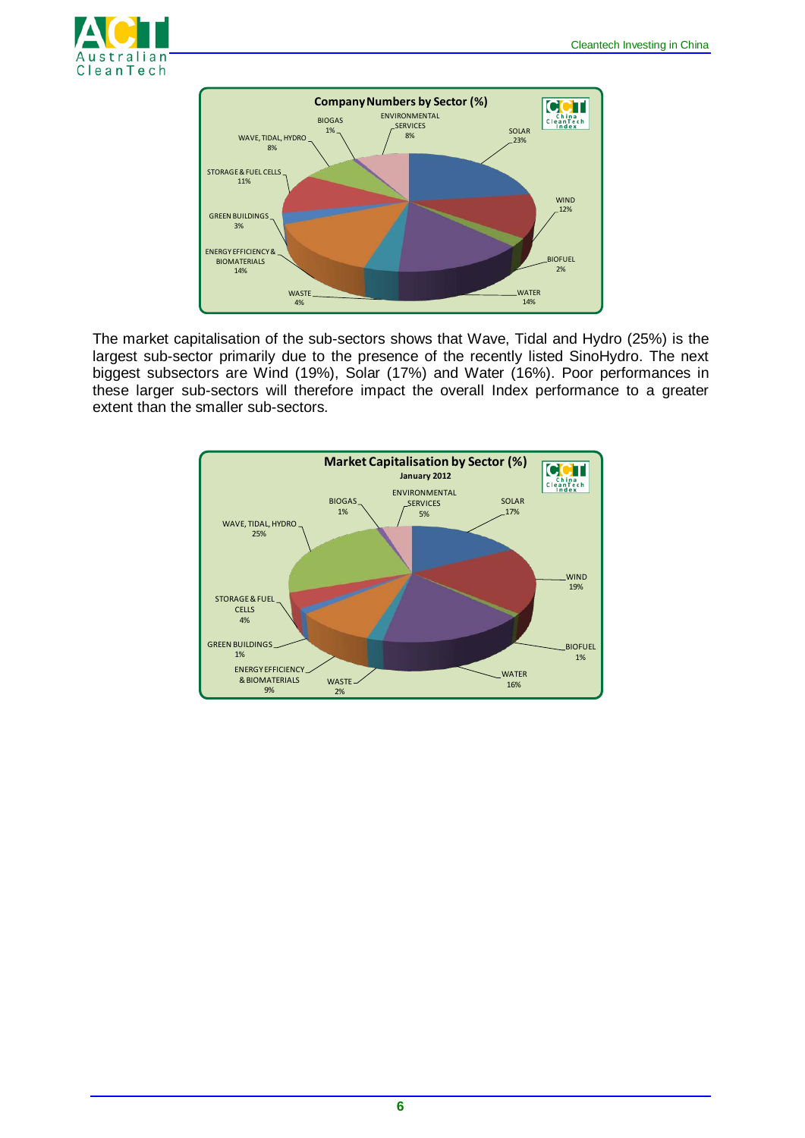



The market capitalisation of the sub-sectors shows that Wave, Tidal and Hydro (25%) is the largest sub-sector primarily due to the presence of the recently listed SinoHydro. The next biggest subsectors are Wind (19%), Solar (17%) and Water (16%). Poor performances in these larger sub-sectors will therefore impact the overall Index performance to a greater extent than the smaller sub-sectors.

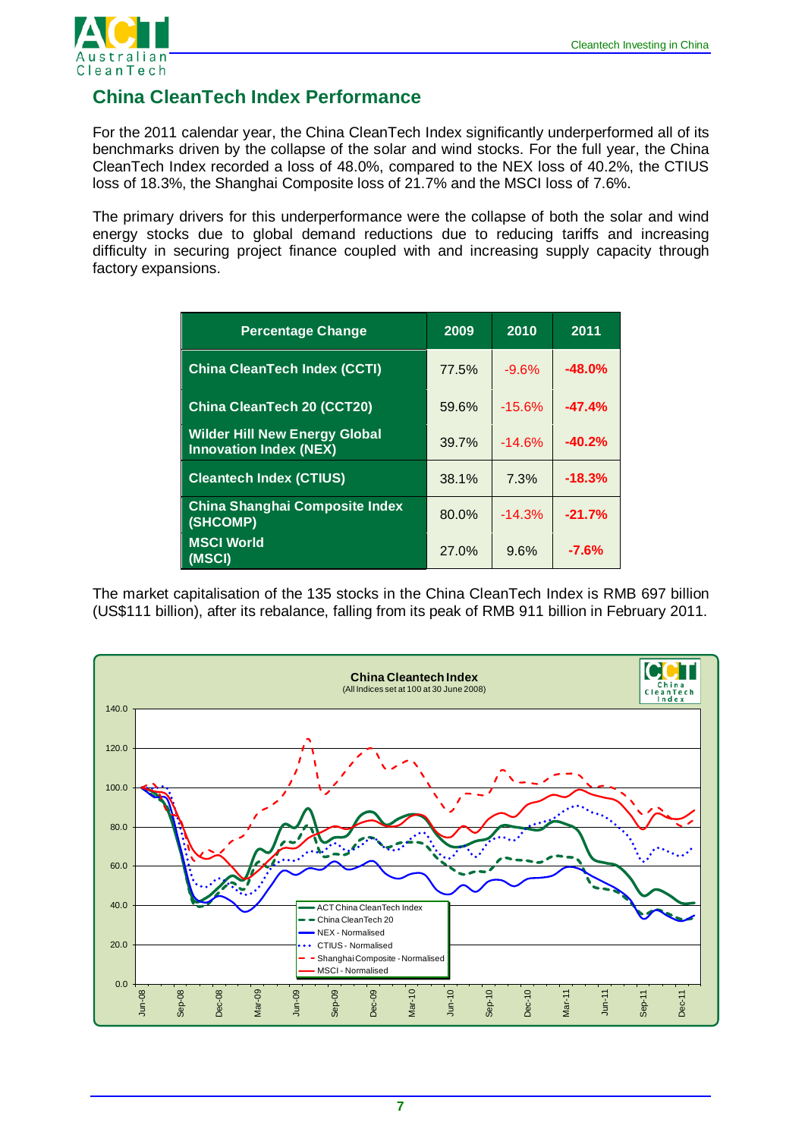

# **China CleanTech Index Performance**

For the 2011 calendar year, the China CleanTech Index significantly underperformed all of its benchmarks driven by the collapse of the solar and wind stocks. For the full year, the China CleanTech Index recorded a loss of 48.0%, compared to the NEX loss of 40.2%, the CTIUS loss of 18.3%, the Shanghai Composite loss of 21.7% and the MSCI loss of 7.6%.

The primary drivers for this underperformance were the collapse of both the solar and wind energy stocks due to global demand reductions due to reducing tariffs and increasing difficulty in securing project finance coupled with and increasing supply capacity through factory expansions.

| <b>Percentage Change</b>                                              | 2009  | 2010     | 2011     |
|-----------------------------------------------------------------------|-------|----------|----------|
| <b>China CleanTech Index (CCTI)</b>                                   | 77.5% | $-9.6%$  | $-48.0%$ |
| <b>China CleanTech 20 (CCT20)</b>                                     | 59.6% | $-15.6%$ | $-47.4%$ |
| <b>Wilder Hill New Energy Global</b><br><b>Innovation Index (NEX)</b> | 39.7% | $-14.6%$ | $-40.2%$ |
| <b>Cleantech Index (CTIUS)</b>                                        | 38.1% | 7.3%     | $-18.3%$ |
| <b>China Shanghai Composite Index</b><br>(SHCOMP)                     | 80.0% | $-14.3%$ | $-21.7%$ |
| <b>MSCI World</b><br>(MSCI)                                           | 27.0% | 9.6%     | $-7.6%$  |

The market capitalisation of the 135 stocks in the China CleanTech Index is RMB 697 billion (US\$111 billion), after its rebalance, falling from its peak of RMB 911 billion in February 2011.

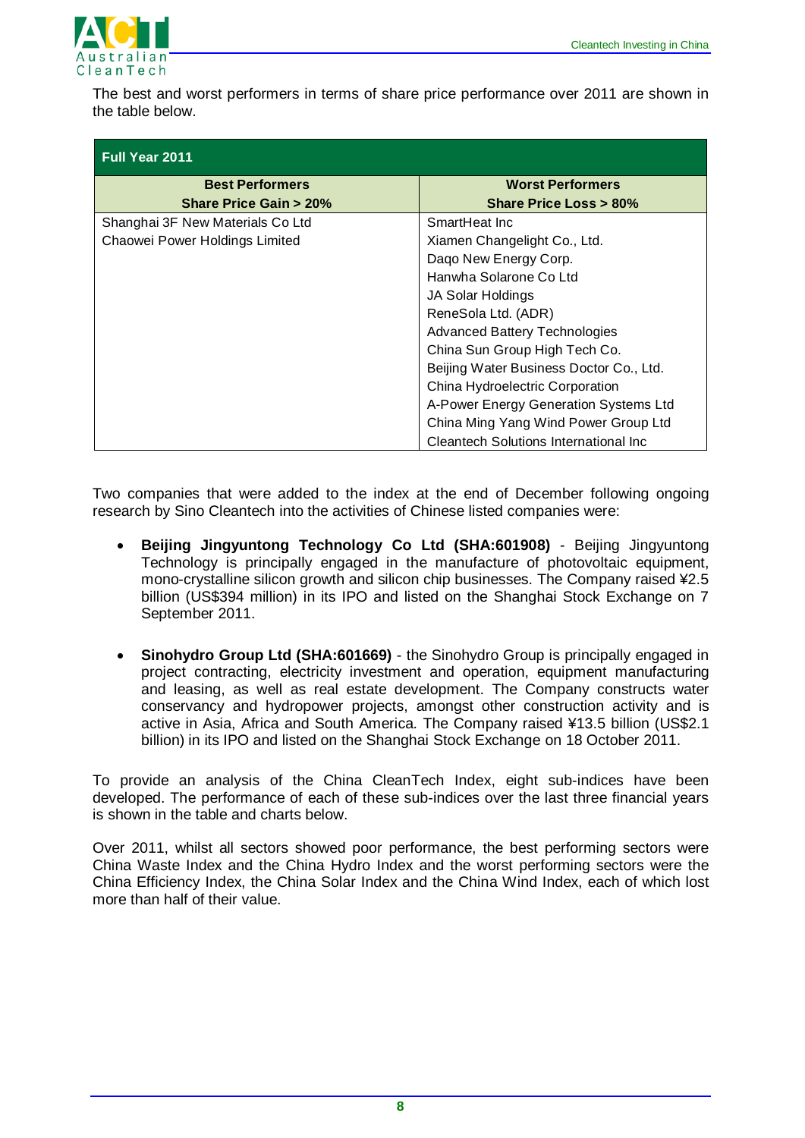

The best and worst performers in terms of share price performance over 2011 are shown in the table below.

| <b>Full Year 2011</b>            |                                         |  |  |
|----------------------------------|-----------------------------------------|--|--|
| <b>Best Performers</b>           | <b>Worst Performers</b>                 |  |  |
| <b>Share Price Gain &gt; 20%</b> | Share Price Loss > 80%                  |  |  |
| Shanghai 3F New Materials Co Ltd | SmartHeat Inc                           |  |  |
| Chaowei Power Holdings Limited   | Xiamen Changelight Co., Ltd.            |  |  |
|                                  | Dago New Energy Corp.                   |  |  |
|                                  | Hanwha Solarone Co Ltd                  |  |  |
|                                  | JA Solar Holdings                       |  |  |
|                                  | ReneSola Ltd. (ADR)                     |  |  |
|                                  | <b>Advanced Battery Technologies</b>    |  |  |
|                                  | China Sun Group High Tech Co.           |  |  |
|                                  | Beijing Water Business Doctor Co., Ltd. |  |  |
|                                  | China Hydroelectric Corporation         |  |  |
|                                  | A-Power Energy Generation Systems Ltd   |  |  |
|                                  | China Ming Yang Wind Power Group Ltd    |  |  |
|                                  | Cleantech Solutions International Inc.  |  |  |

Two companies that were added to the index at the end of December following ongoing research by Sino Cleantech into the activities of Chinese listed companies were:

- **Beijing Jingyuntong Technology Co Ltd (SHA:601908)** Beijing Jingyuntong Technology is principally engaged in the manufacture of photovoltaic equipment, mono-crystalline silicon growth and silicon chip businesses. The Company raised ¥2.5 billion (US\$394 million) in its IPO and listed on the Shanghai Stock Exchange on 7 September 2011.
- **Sinohydro Group Ltd (SHA:601669)** the Sinohydro Group is principally engaged in project contracting, electricity investment and operation, equipment manufacturing and leasing, as well as real estate development. The Company constructs water conservancy and hydropower projects, amongst other construction activity and is active in Asia, Africa and South America. The Company raised ¥13.5 billion (US\$2.1 billion) in its IPO and listed on the Shanghai Stock Exchange on 18 October 2011.

To provide an analysis of the China CleanTech Index, eight sub-indices have been developed. The performance of each of these sub-indices over the last three financial years is shown in the table and charts below.

Over 2011, whilst all sectors showed poor performance, the best performing sectors were China Waste Index and the China Hydro Index and the worst performing sectors were the China Efficiency Index, the China Solar Index and the China Wind Index, each of which lost more than half of their value.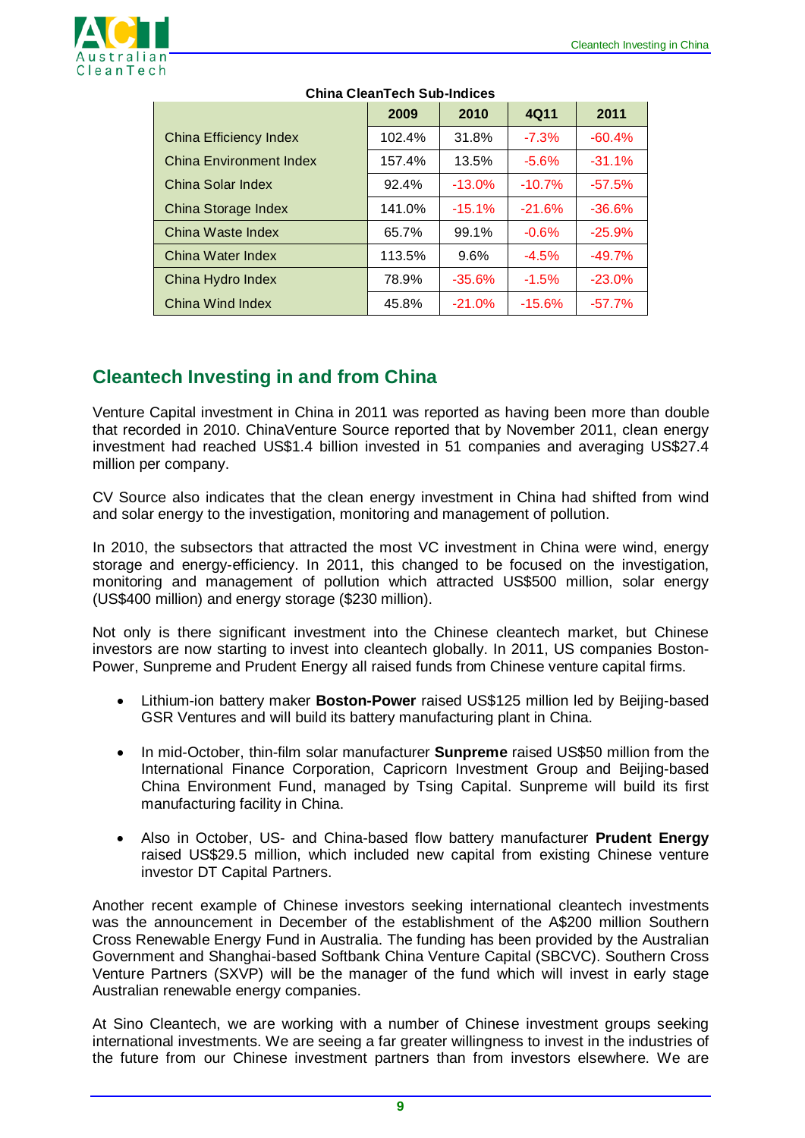

|                         | 2009   | 2010     | 4Q11     | 2011     |
|-------------------------|--------|----------|----------|----------|
| China Efficiency Index  | 102.4% | 31.8%    | $-7.3\%$ | $-60.4%$ |
| China Environment Index | 157.4% | 13.5%    | $-5.6%$  | $-31.1%$ |
| China Solar Index       | 92.4%  | $-13.0%$ | $-10.7%$ | $-57.5%$ |
| China Storage Index     | 141.0% | $-15.1%$ | $-21.6%$ | $-36.6%$ |
| China Waste Index       | 65.7%  | 99.1%    | $-0.6%$  | $-25.9%$ |
| China Water Index       | 113.5% | 9.6%     | $-4.5%$  | $-49.7%$ |
| China Hydro Index       | 78.9%  | $-35.6%$ | $-1.5%$  | $-23.0%$ |
| China Wind Index        | 45.8%  | $-21.0%$ | $-15.6%$ | $-57.7%$ |

#### **China CleanTech Sub-Indices**

# **Cleantech Investing in and from China**

Venture Capital investment in China in 2011 was reported as having been more than double that recorded in 2010. ChinaVenture Source reported that by November 2011, clean energy investment had reached US\$1.4 billion invested in 51 companies and averaging US\$27.4 million per company.

CV Source also indicates that the clean energy investment in China had shifted from wind and solar energy to the investigation, monitoring and management of pollution.

In 2010, the subsectors that attracted the most VC investment in China were wind, energy storage and energy-efficiency. In 2011, this changed to be focused on the investigation, monitoring and management of pollution which attracted US\$500 million, solar energy (US\$400 million) and energy storage (\$230 million).

Not only is there significant investment into the Chinese cleantech market, but Chinese investors are now starting to invest into cleantech globally. In 2011, US companies Boston-Power, Sunpreme and Prudent Energy all raised funds from Chinese venture capital firms.

- Lithium-ion battery maker **Boston-Power** raised US\$125 million led by Beijing-based GSR Ventures and will build its battery manufacturing plant in China.
- In mid-October, thin-film solar manufacturer **Sunpreme** raised US\$50 million from the International Finance Corporation, Capricorn Investment Group and Beijing-based China Environment Fund, managed by Tsing Capital. Sunpreme will build its first manufacturing facility in China.
- Also in October, US- and China-based flow battery manufacturer **Prudent Energy** raised US\$29.5 million, which included new capital from existing Chinese venture investor DT Capital Partners.

Another recent example of Chinese investors seeking international cleantech investments was the announcement in December of the establishment of the A\$200 million Southern Cross Renewable Energy Fund in Australia. The funding has been provided by the Australian Government and Shanghai-based Softbank China Venture Capital (SBCVC). Southern Cross Venture Partners (SXVP) will be the manager of the fund which will invest in early stage Australian renewable energy companies.

At Sino Cleantech, we are working with a number of Chinese investment groups seeking international investments. We are seeing a far greater willingness to invest in the industries of the future from our Chinese investment partners than from investors elsewhere. We are